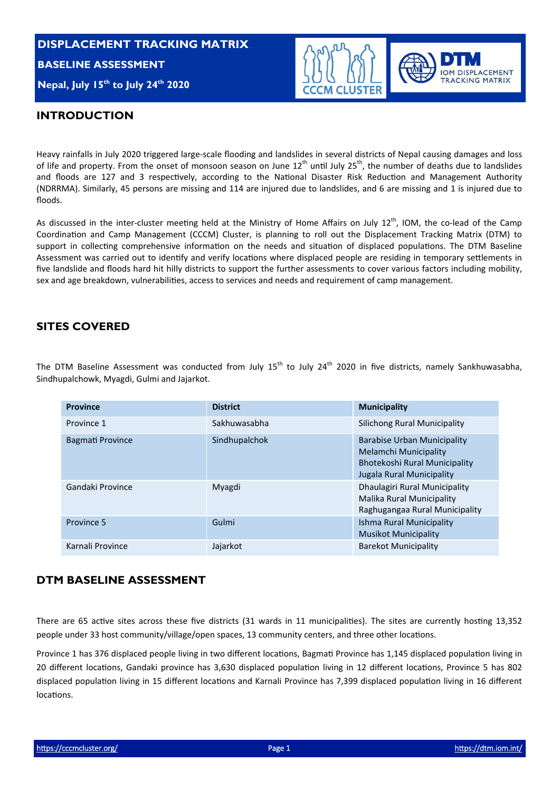# **DISPLACEMENT TRACKING MATRIX BASELINE ASSESSMENT Nepal, July 15<sup>th</sup> to July 24<sup>th</sup> 2020**



#### **INTRODUCTION**

Heavy rainfalls in July 2020 triggered large‐scale flooding and landslides in several districts of Nepal causing damages and loss of life and property. From the onset of monsoon season on June 12<sup>th</sup> until July 25<sup>th</sup>, the number of deaths due to landslides and floods are 127 and 3 respectively, according to the National Disaster Risk Reduction and Management Authority (NDRRMA). Similarly, 45 persons are missing and 114 are injured due to landslides, and 6 are missing and 1 is injured due to floods.

As discussed in the inter-cluster meeting held at the Ministry of Home Affairs on July 12<sup>th</sup>, IOM, the co-lead of the Camp Coordination and Camp Management (CCCM) Cluster, is planning to roll out the Displacement Tracking Matrix (DTM) to support in collecting comprehensive information on the needs and situation of displaced populations. The DTM Baseline Assessment was carried out to identify and verify locations where displaced people are residing in temporary settlements in five landslide and floods hard hit hilly districts to support the further assessments to cover various factors including mobility, sex and age breakdown, vulnerabilities, access to services and needs and requirement of camp management.

#### **SITES COVERED**

The DTM Baseline Assessment was conducted from July 15<sup>th</sup> to July 24<sup>th</sup> 2020 in five districts, namely Sankhuwasabha, Sindhupalchowk, Myagdi, Gulmi and Jajarkot.

| <b>Province</b>         | <b>District</b> | <b>Municipality</b>                                                                                                |
|-------------------------|-----------------|--------------------------------------------------------------------------------------------------------------------|
| Province 1              | Sakhuwasabha    | Silichong Rural Municipality                                                                                       |
| <b>Bagmati Province</b> | Sindhupalchok   | Barabise Urban Municipality<br>Melamchi Municipality<br>Bhotekoshi Rural Municipality<br>Jugala Rural Municipality |
| Gandaki Province        | Myagdi          | Dhaulagiri Rural Municipality<br>Malika Rural Municipality<br>Raghugangaa Rural Municipality                       |
| Province 5              | Gulmi           | Ishma Rural Municipality<br><b>Musikot Municipality</b>                                                            |
| Karnali Province        | Jajarkot        | <b>Barekot Municipality</b>                                                                                        |

#### **DTM BASELINE ASSESSMENT**

There are 65 active sites across these five districts (31 wards in 11 municipalities). The sites are currently hosting 13,352 people under 33 host community/village/open spaces, 13 community centers, and three other locations.

Province 1 has 376 displaced people living in two different locations, Bagmati Province has 1,145 displaced population living in 20 different locations, Gandaki province has 3,630 displaced population living in 12 different locations, Province 5 has 802 displaced population living in 15 different locations and Karnali Province has 7,399 displaced population living in 16 different locations.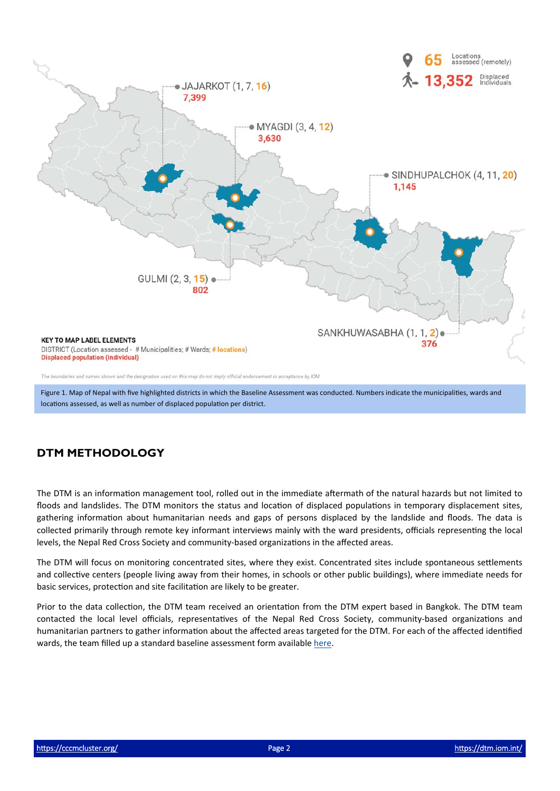

Figure 1. Map of Nepal with five highlighted districts in which the Baseline Assessment was conducted. Numbers indicate the municipalities, wards and locations assessed, as well as number of displaced population per district.

## **DTM METHODOLOGY**

The DTM is an information management tool, rolled out in the immediate aftermath of the natural hazards but not limited to floods and landslides. The DTM monitors the status and location of displaced populations in temporary displacement sites, gathering information about humanitarian needs and gaps of persons displaced by the landslide and floods. The data is collected primarily through remote key informant interviews mainly with the ward presidents, officials representing the local levels, the Nepal Red Cross Society and community-based organizations in the affected areas.

The DTM will focus on monitoring concentrated sites, where they exist. Concentrated sites include spontaneous settlements and collective centers (people living away from their homes, in schools or other public buildings), where immediate needs for basic services, protection and site facilitation are likely to be greater.

Prior to the data collection, the DTM team received an orientation from the DTM expert based in Bangkok. The DTM team contacted the local level officials, representatives of the Nepal Red Cross Society, community-based organizations and humanitarian partners to gather information about the affected areas targeted for the DTM. For each of the affected identified wards, the team filled up a standard baseline assessment form available here.